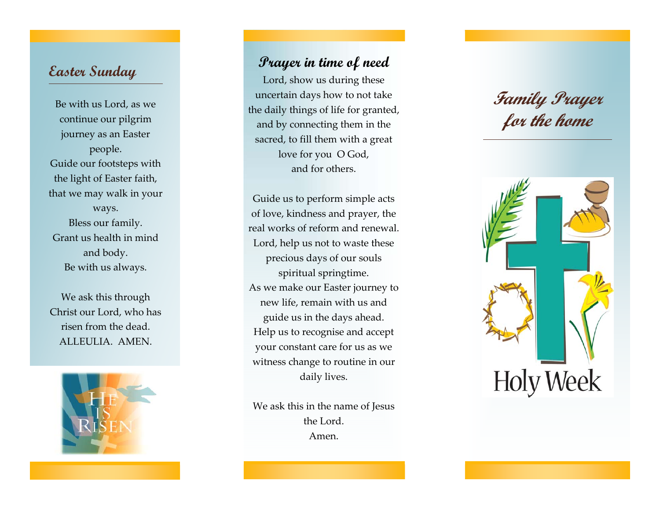#### **Easter Sunday**

Be with us Lord, as we continue our pilgrim journey as an Easter people. Guide our footsteps with the light of Easter faith, that we may walk in your ways. Bless our family. Grant us health in mind and body. Be with us always.

We ask this through Christ our Lord, who has risen from the dead. ALLEULIA. AMEN.



#### **Prayer in time of need**

Lord, show us during these uncertain days how to not take the daily things of life for granted, and by connecting them in the sacred, to fill them with a great love for you O God, and for others.

Guide us to perform simple acts of love, kindness and prayer, the real works of reform and renewal. Lord, help us not to waste these precious days of our souls spiritual springtime. As we make our Easter journey to new life, remain with us and guide us in the days ahead. Help us to recognise and accept your constant care for us as we witness change to routine in our daily lives.

We ask this in the name of Jesus the Lord. Amen.

# **Family Prayer for the home**